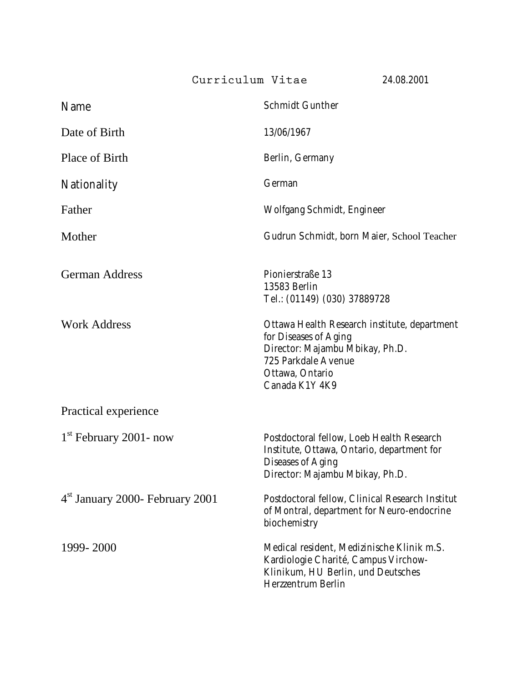**Curriculum Vitae** 24.08.2001

| Name                                        | <b>Schmidt Gunther</b>                                                                                                                                               |
|---------------------------------------------|----------------------------------------------------------------------------------------------------------------------------------------------------------------------|
| Date of Birth                               | 13/06/1967                                                                                                                                                           |
| Place of Birth                              | Berlin, Germany                                                                                                                                                      |
| Nationality                                 | German                                                                                                                                                               |
| Father                                      | Wolfgang Schmidt, Engineer                                                                                                                                           |
| Mother                                      | Gudrun Schmidt, born Maier, School Teacher                                                                                                                           |
| <b>German Address</b>                       | Pionierstraße 13<br>13583 Berlin<br>Tel.: (01149) (030) 37889728                                                                                                     |
| <b>Work Address</b>                         | Ottawa Health Research institute, department<br>for Diseases of Aging<br>Director: Majambu Mbikay, Ph.D.<br>725 Parkdale Avenue<br>Ottawa, Ontario<br>Canada K1Y 4K9 |
| Practical experience                        |                                                                                                                                                                      |
| $1st$ February 2001- now                    | Postdoctoral fellow, Loeb Health Research<br>Institute, Ottawa, Ontario, department for<br><b>Diseases of Aging</b><br>Director: Majambu Mbikay, Ph.D.               |
| 4 <sup>st</sup> January 2000- February 2001 | Postdoctoral fellow, Clinical Research Institut<br>of Montral, department for Neuro-endocrine<br>biochemistry                                                        |
| 1999-2000                                   | Medical resident, Medizinische Klinik m.S.<br>Kardiologie Charité, Campus Virchow-<br>Klinikum, HU Berlin, und Deutsches<br>Herzzentrum Berlin                       |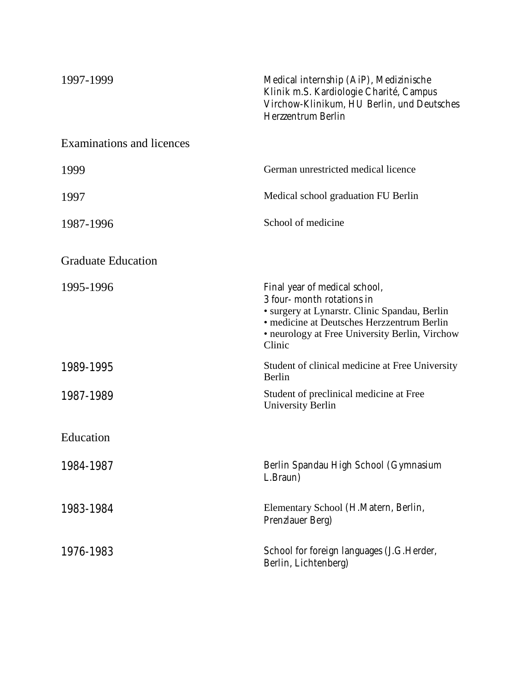| 1997-1999                        | Medical internship (AiP), Medizinische<br>Klinik m.S. Kardiologie Charité, Campus<br>Virchow-Klinikum, HU Berlin, und Deutsches<br>Herzzentrum Berlin                                                                  |
|----------------------------------|------------------------------------------------------------------------------------------------------------------------------------------------------------------------------------------------------------------------|
| <b>Examinations and licences</b> |                                                                                                                                                                                                                        |
| 1999                             | German unrestricted medical licence                                                                                                                                                                                    |
| 1997                             | Medical school graduation FU Berlin                                                                                                                                                                                    |
| 1987-1996                        | School of medicine                                                                                                                                                                                                     |
| <b>Graduate Education</b>        |                                                                                                                                                                                                                        |
| 1995-1996                        | Final year of medical school,<br>3 four- month rotations in<br>· surgery at Lynarstr. Clinic Spandau, Berlin<br>· medicine at Deutsches Herzzentrum Berlin<br>• neurology at Free University Berlin, Virchow<br>Clinic |
| 1989-1995                        | Student of clinical medicine at Free University<br>Berlin                                                                                                                                                              |
| 1987-1989                        | Student of preclinical medicine at Free<br><b>University Berlin</b>                                                                                                                                                    |
| Education                        |                                                                                                                                                                                                                        |
| 1984-1987                        | Berlin Spandau High School (Gymnasium<br>L.Braun)                                                                                                                                                                      |
| 1983-1984                        | Elementary School (H.Matern, Berlin,<br>Prenzlauer Berg)                                                                                                                                                               |
| 1976-1983                        | School for foreign languages (J.G.Herder,<br>Berlin, Lichtenberg)                                                                                                                                                      |